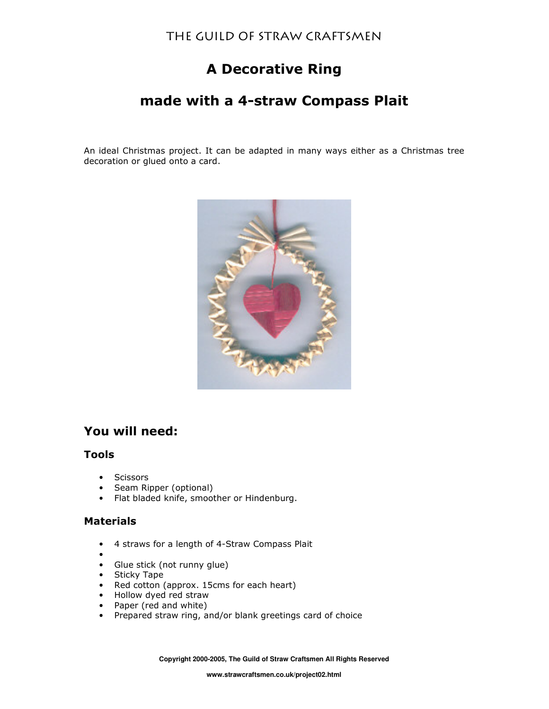# **A Decorative Ring**

# made with a 4-straw Compass Plait

An ideal Christmas project. It can be adapted in many ways either as a Christmas tree decoration or glued onto a card.



## You will need:

### **Tools**

- **Scissors**  $\bullet$
- Seam Ripper (optional)  $\bullet$
- Flat bladed knife, smoother or Hindenburg.  $\bullet$

### **Materials**

- 4 straws for a length of 4-Straw Compass Plait  $\bullet$
- 
- Glue stick (not runny glue)
- Sticky Tape
- Red cotton (approx. 15cms for each heart)
- Hollow dyed red straw
- Paper (red and white)
- Prepared straw ring, and/or blank greetings card of choice

Copyright 2000-2005, The Guild of Straw Craftsmen All Rights Reserved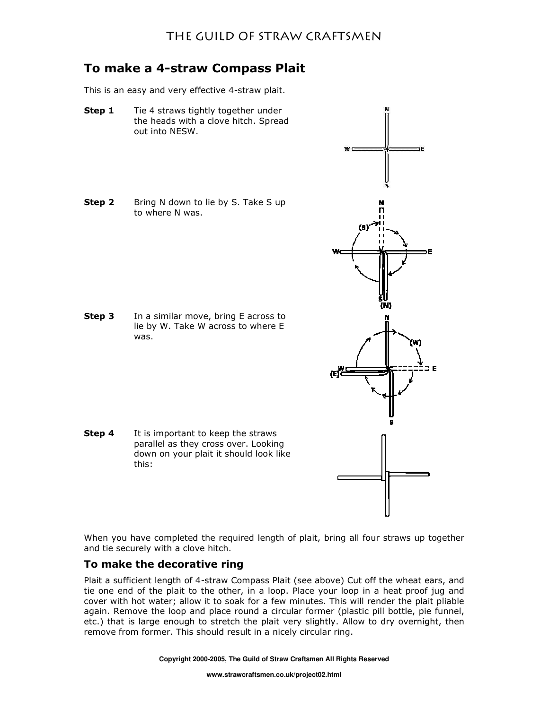## To make a 4-straw Compass Plait

This is an easy and very effective 4-straw plait.

- Step 1 Tie 4 straws tightly together under the heads with a clove hitch. Spread out into NESW.
- Step 2 Bring N down to lie by S. Take S up to where N was.

In a similar move, bring E across to Step 3 lie by W. Take W across to where E was.

Step 4 It is important to keep the straws parallel as they cross over. Looking down on your plait it should look like this:

When you have completed the required length of plait, bring all four straws up together and tie securely with a clove hitch.

### To make the decorative ring

Plait a sufficient length of 4-straw Compass Plait (see above) Cut off the wheat ears, and tie one end of the plait to the other, in a loop. Place your loop in a heat proof jug and cover with hot water; allow it to soak for a few minutes. This will render the plait pliable again. Remove the loop and place round a circular former (plastic pill bottle, pie funnel, etc.) that is large enough to stretch the plait very slightly. Allow to dry overnight, then remove from former. This should result in a nicely circular ring.

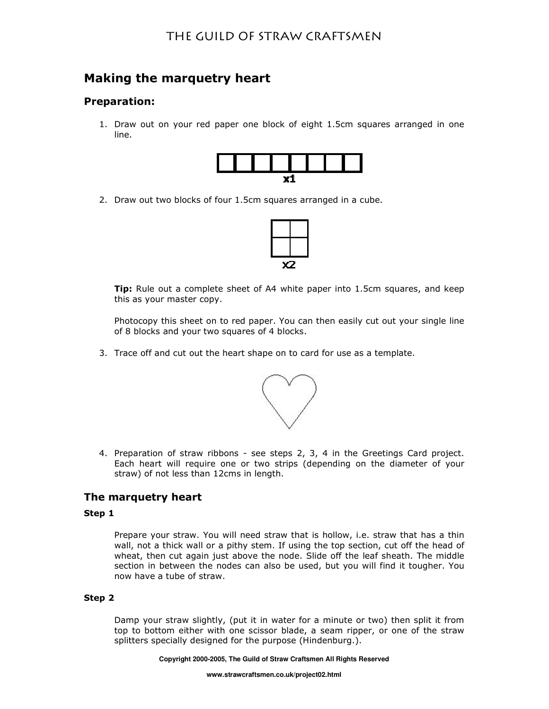## Making the marquetry heart

### **Preparation:**

1. Draw out on your red paper one block of eight 1.5cm squares arranged in one line.



2. Draw out two blocks of four 1.5cm squares arranged in a cube.



Tip: Rule out a complete sheet of A4 white paper into 1.5cm squares, and keep this as your master copy.

Photocopy this sheet on to red paper. You can then easily cut out your single line of 8 blocks and your two squares of 4 blocks.

3. Trace off and cut out the heart shape on to card for use as a template.



4. Preparation of straw ribbons - see steps 2, 3, 4 in the Greetings Card project. Each heart will require one or two strips (depending on the diameter of your straw) of not less than 12cms in length.

### The marquetry heart

#### Step 1

Prepare your straw. You will need straw that is hollow, i.e. straw that has a thin wall, not a thick wall or a pithy stem. If using the top section, cut off the head of wheat, then cut again just above the node. Slide off the leaf sheath. The middle section in between the nodes can also be used, but you will find it tougher. You now have a tube of straw.

#### Step 2

Damp your straw slightly, (put it in water for a minute or two) then split it from top to bottom either with one scissor blade, a seam ripper, or one of the straw splitters specially designed for the purpose (Hindenburg.).

Copyright 2000-2005, The Guild of Straw Craftsmen All Rights Reserved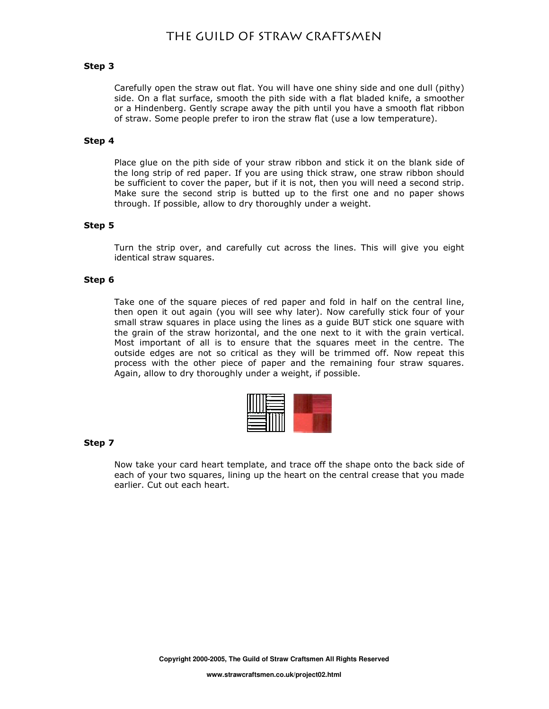#### Step 3

Carefully open the straw out flat. You will have one shiny side and one dull (pithy) side. On a flat surface, smooth the pith side with a flat bladed knife, a smoother or a Hindenberg. Gently scrape away the pith until you have a smooth flat ribbon of straw. Some people prefer to iron the straw flat (use a low temperature).

#### Step 4

Place glue on the pith side of your straw ribbon and stick it on the blank side of the long strip of red paper. If you are using thick straw, one straw ribbon should be sufficient to cover the paper, but if it is not, then you will need a second strip. Make sure the second strip is butted up to the first one and no paper shows through. If possible, allow to dry thoroughly under a weight.

#### Step 5

Turn the strip over, and carefully cut across the lines. This will give you eight identical straw squares.

#### Step 6

Take one of the square pieces of red paper and fold in half on the central line, then open it out again (you will see why later). Now carefully stick four of your small straw squares in place using the lines as a guide BUT stick one square with the grain of the straw horizontal, and the one next to it with the grain vertical. Most important of all is to ensure that the squares meet in the centre. The outside edges are not so critical as they will be trimmed off. Now repeat this process with the other piece of paper and the remaining four straw squares. Again, allow to dry thoroughly under a weight, if possible.

#### Step 7

Now take your card heart template, and trace off the shape onto the back side of each of your two squares, lining up the heart on the central crease that you made earlier. Cut out each heart.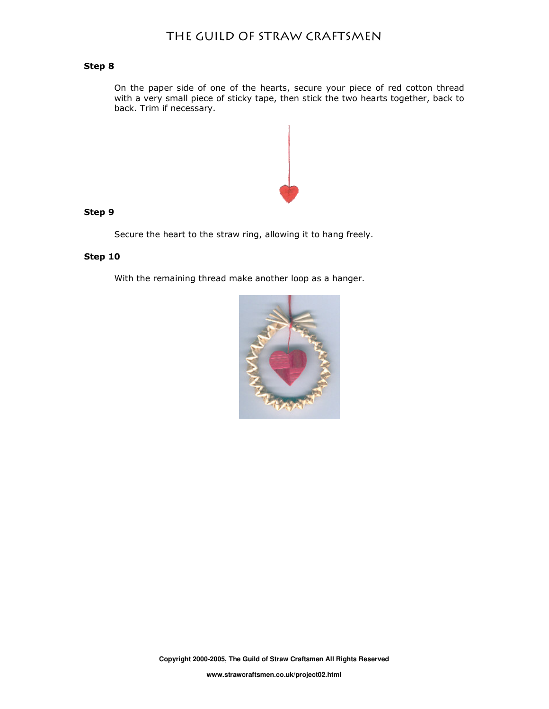#### Step 8

On the paper side of one of the hearts, secure your piece of red cotton thread with a very small piece of sticky tape, then stick the two hearts together, back to back. Trim if necessary.



#### Step 9

Secure the heart to the straw ring, allowing it to hang freely.

#### Step 10

With the remaining thread make another loop as a hanger.